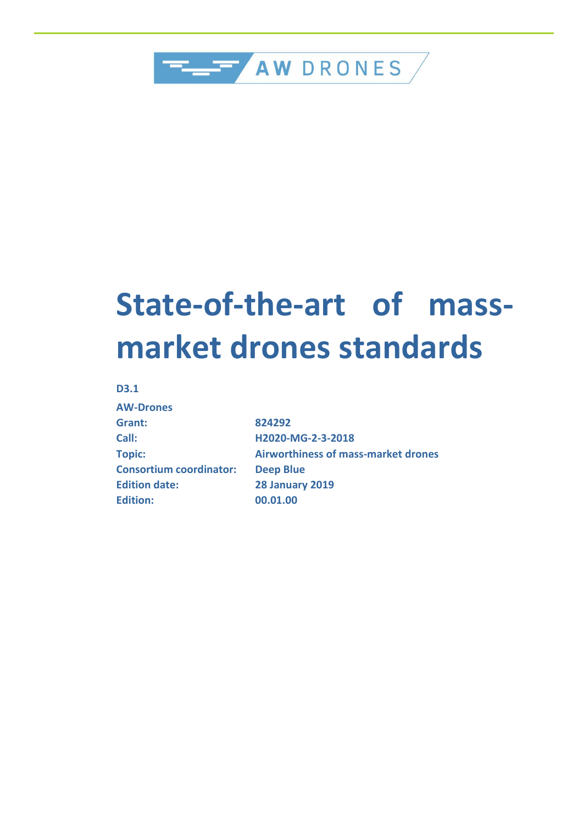

# **State-of-the-art of massmarket drones standards**

#### **D3.1**

| <b>AW-Drones</b>               |
|--------------------------------|
| Grant:                         |
| Call:                          |
| <b>Topic:</b>                  |
| <b>Consortium coordinator:</b> |
| <b>Edition date:</b>           |
| <b>Edition:</b>                |

**Grant: 824292 Call: H2020-MG-2-3-2018 Topic: Airworthiness of mass-market drones Deep Blue Edition date: 28 January 2019 Edition: 00.01.00**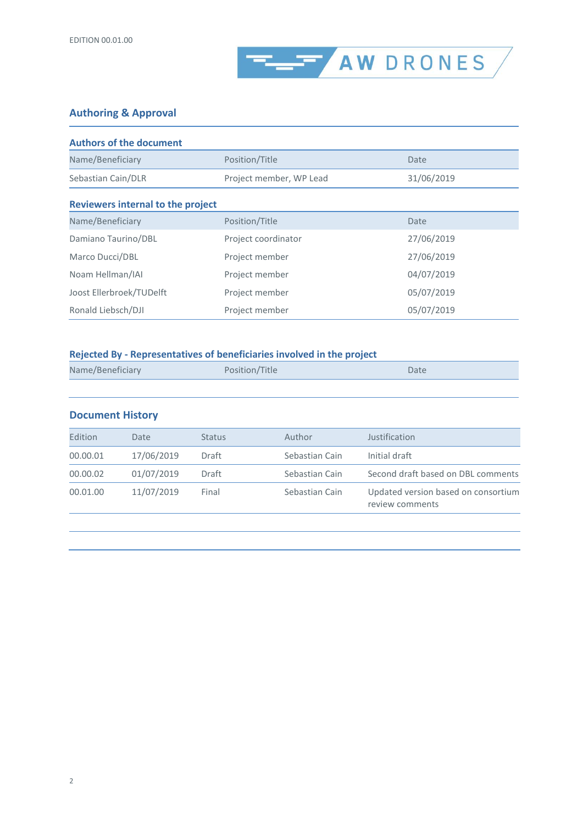

#### **Authoring & Approval**

| <b>Authors of the document</b>           |                         |            |  |  |  |
|------------------------------------------|-------------------------|------------|--|--|--|
| Name/Beneficiary                         | Position/Title          | Date       |  |  |  |
| Sebastian Cain/DLR                       | Project member, WP Lead | 31/06/2019 |  |  |  |
| <b>Reviewers internal to the project</b> |                         |            |  |  |  |
| Name/Beneficiary                         | Position/Title          | Date       |  |  |  |
| Damiano Taurino/DBL                      | Project coordinator     | 27/06/2019 |  |  |  |
| Marco Ducci/DBL                          | Project member          | 27/06/2019 |  |  |  |
| Noam Hellman/IAI                         | Project member          | 04/07/2019 |  |  |  |
| Joost Ellerbroek/TUDelft                 | Project member          | 05/07/2019 |  |  |  |
| Ronald Liebsch/DJI                       | Project member          | 05/07/2019 |  |  |  |

#### **Rejected By - Representatives of beneficiaries involved in the project**

| Name/Beneficiary | Position/Title | Date |
|------------------|----------------|------|
|                  |                |      |

| <b>Document History</b> |            |               |                |                                                        |
|-------------------------|------------|---------------|----------------|--------------------------------------------------------|
| Edition                 | Date       | <b>Status</b> | Author         | Justification                                          |
| 00.00.01                | 17/06/2019 | Draft         | Sebastian Cain | Initial draft                                          |
| 00.00.02                | 01/07/2019 | Draft         | Sebastian Cain | Second draft based on DBL comments                     |
| 00.01.00                | 11/07/2019 | Final         | Sebastian Cain | Updated version based on consortium<br>review comments |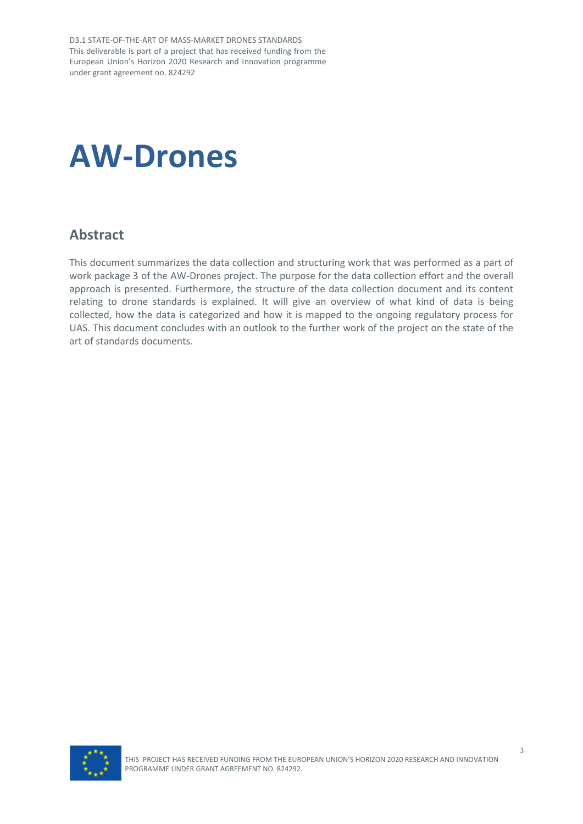D3.1 STATE-OF-THE-ART OF MASS-MARKET DRONES STANDARDS This deliverable is part of a project that has received funding from the European Union's Horizon 2020 Research and Innovation programme under grant agreement no. 824292

# **AW-Drones**

#### <span id="page-2-0"></span>**Abstract**

This document summarizes the data collection and structuring work that was performed as a part of work package 3 of the AW-Drones project. The purpose for the data collection effort and the overall approach is presented. Furthermore, the structure of the data collection document and its content relating to drone standards is explained. It will give an overview of what kind of data is being collected, how the data is categorized and how it is mapped to the ongoing regulatory process for UAS. This document concludes with an outlook to the further work of the project on the state of the art of standards documents.

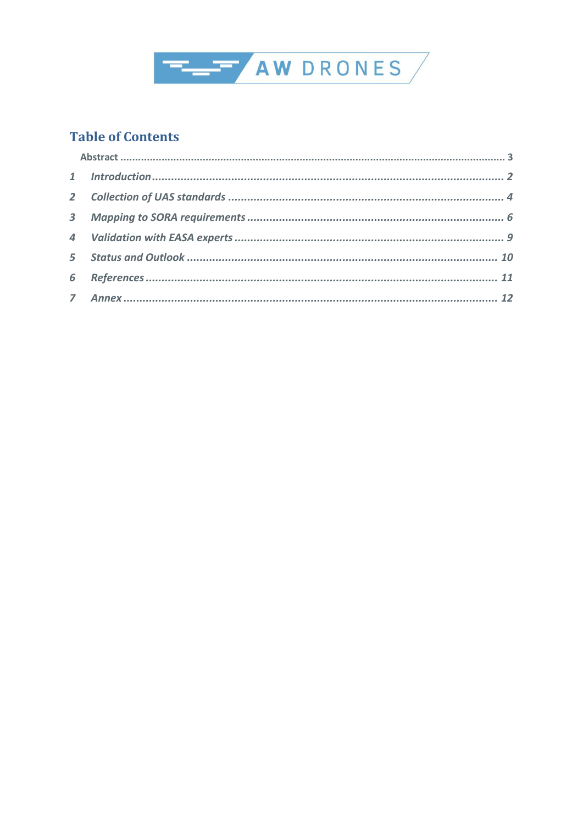

#### **Table of Contents**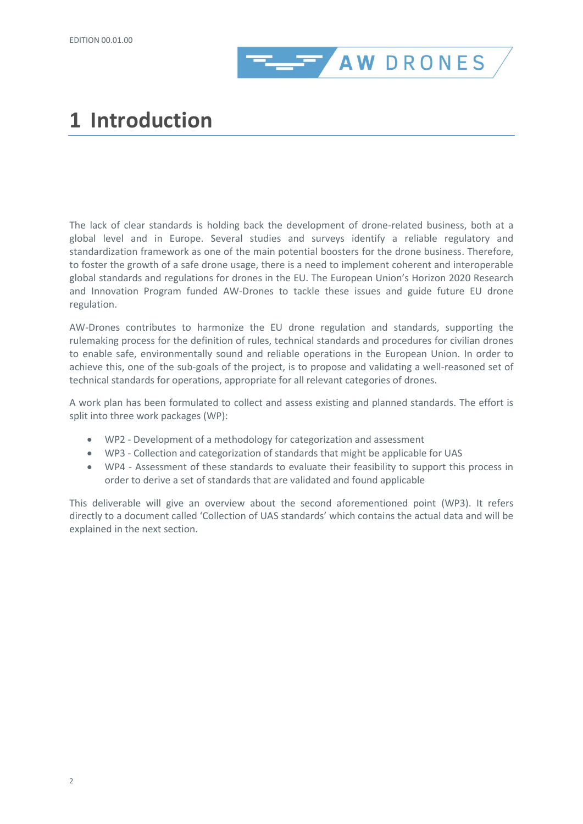

## <span id="page-5-0"></span>**1 Introduction**

The lack of clear standards is holding back the development of drone-related business, both at a global level and in Europe. Several studies and surveys identify a reliable regulatory and standardization framework as one of the main potential boosters for the drone business. Therefore, to foster the growth of a safe drone usage, there is a need to implement coherent and interoperable global standards and regulations for drones in the EU. The European Union's Horizon 2020 Research and Innovation Program funded AW-Drones to tackle these issues and guide future EU drone regulation.

AW-Drones contributes to harmonize the EU drone regulation and standards, supporting the rulemaking process for the definition of rules, technical standards and procedures for civilian drones to enable safe, environmentally sound and reliable operations in the European Union. In order to achieve this, one of the sub-goals of the project, is to propose and validating a well-reasoned set of technical standards for operations, appropriate for all relevant categories of drones.

A work plan has been formulated to collect and assess existing and planned standards. The effort is split into three work packages (WP):

- WP2 Development of a methodology for categorization and assessment
- WP3 Collection and categorization of standards that might be applicable for UAS
- WP4 Assessment of these standards to evaluate their feasibility to support this process in order to derive a set of standards that are validated and found applicable

This deliverable will give an overview about the second aforementioned point (WP3). It refers directly to a document called 'Collection of UAS standards' which contains the actual data and will be explained in the next section.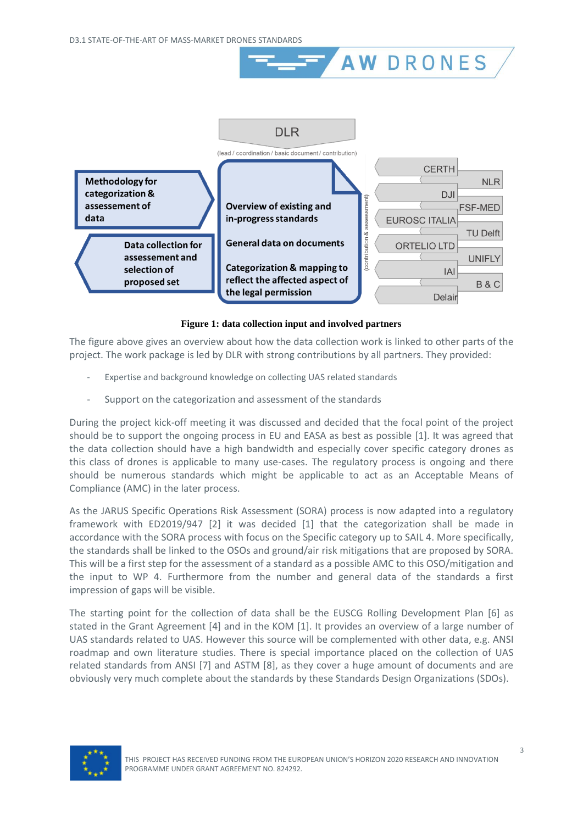

**AW DRONES** 

**Figure 1: data collection input and involved partners**

The figure above gives an overview about how the data collection work is linked to other parts of the project. The work package is led by DLR with strong contributions by all partners. They provided:

- Expertise and background knowledge on collecting UAS related standards
- Support on the categorization and assessment of the standards

During the project kick-off meeting it was discussed and decided that the focal point of the project should be to support the ongoing process in EU and EASA as best as possible [\[1\].](#page-14-1) It was agreed that the data collection should have a high bandwidth and especially cover specific category drones as this class of drones is applicable to many use-cases. The regulatory process is ongoing and there should be numerous standards which might be applicable to act as an Acceptable Means of Compliance (AMC) in the later process.

As the JARUS Specific Operations Risk Assessment (SORA) process is now adapted into a regulatory framework with ED2019/947 [\[2\]](#page-14-2) it was decided [\[1\]](#page-14-1) that the categorization shall be made in accordance with the SORA process with focus on the Specific category up to SAIL 4. More specifically, the standards shall be linked to the OSOs and ground/air risk mitigations that are proposed by SORA. This will be a first step for the assessment of a standard as a possible AMC to this OSO/mitigation and the input to WP 4. Furthermore from the number and general data of the standards a first impression of gaps will be visible.

The starting point for the collection of data shall be the EUSCG Rolling Development Plan [\[6\]](#page-14-3) as stated in the Grant Agreement [\[4\]](#page-14-4) and in the KOM [\[1\].](#page-14-1) It provides an overview of a large number of UAS standards related to UAS. However this source will be complemented with other data, e.g. ANSI roadmap and own literature studies. There is special importance placed on the collection of UAS related standards from ANSI [\[7\]](#page-14-5) and ASTM [\[8\],](#page-14-6) as they cover a huge amount of documents and are obviously very much complete about the standards by these Standards Design Organizations (SDOs).

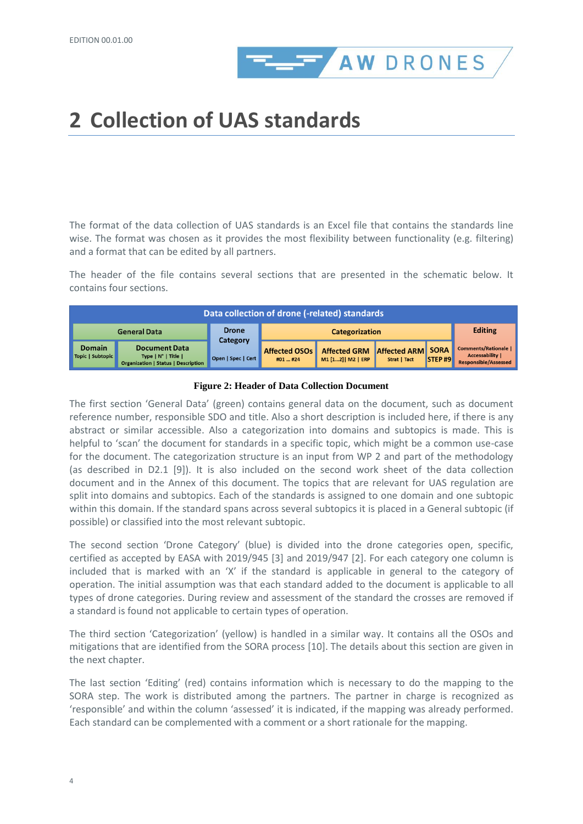

# <span id="page-7-0"></span>**2 Collection of UAS standards**

The format of the data collection of UAS standards is an Excel file that contains the standards line wise. The format was chosen as it provides the most flexibility between functionality (e.g. filtering) and a format that can be edited by all partners.

The header of the file contains several sections that are presented in the schematic below. It contains four sections.

| Data collection of drone (-related) standards |                                                                                                    |                                |                                  |                                           |                                            |                       |                                                                                      |
|-----------------------------------------------|----------------------------------------------------------------------------------------------------|--------------------------------|----------------------------------|-------------------------------------------|--------------------------------------------|-----------------------|--------------------------------------------------------------------------------------|
|                                               | <b>General Data</b>                                                                                | <b>Drone</b>                   |                                  | <b>Categorization</b>                     |                                            |                       | <b>Editing</b>                                                                       |
| <b>Domain</b><br>Topic   Subtopic             | <b>Document Data</b><br>Type $ N^{\circ} $ Title $ $<br><b>Organization   Status   Description</b> | Category<br>Open   Spec   Cert | <b>Affected OSOs</b><br>#01  #24 | <b>Affected GRM</b><br>M1 [12]   M2   ERP | <b>Affected ARM</b><br><b>Strat   Tact</b> | <b>SORA</b><br>STEP#9 | <b>Comments/Rationale  </b><br><b>Accessability I</b><br><b>Responsible/Assessed</b> |

#### **Figure 2: Header of Data Collection Document**

The first section 'General Data' (green) contains general data on the document, such as document reference number, responsible SDO and title. Also a short description is included here, if there is any abstract or similar accessible. Also a categorization into domains and subtopics is made. This is helpful to 'scan' the document for standards in a specific topic, which might be a common use-case for the document. The categorization structure is an input from WP 2 and part of the methodology (as described in D2.1 [\[9\]\)](#page-14-7). It is also included on the second work sheet of the data collection document and in the Annex of this document. The topics that are relevant for UAS regulation are split into domains and subtopics. Each of the standards is assigned to one domain and one subtopic within this domain. If the standard spans across several subtopics it is placed in a General subtopic (if possible) or classified into the most relevant subtopic.

The second section 'Drone Category' (blue) is divided into the drone categories open, specific, certified as accepted by EASA with 2019/945 [\[3\]](#page-14-8) and 2019/947 [\[2\].](#page-14-2) For each category one column is included that is marked with an 'X' if the standard is applicable in general to the category of operation. The initial assumption was that each standard added to the document is applicable to all types of drone categories. During review and assessment of the standard the crosses are removed if a standard is found not applicable to certain types of operation.

The third section 'Categorization' (yellow) is handled in a similar way. It contains all the OSOs and mitigations that are identified from the SORA process [\[10\].](#page-14-9) The details about this section are given in the next chapter.

The last section 'Editing' (red) contains information which is necessary to do the mapping to the SORA step. The work is distributed among the partners. The partner in charge is recognized as 'responsible' and within the column 'assessed' it is indicated, if the mapping was already performed. Each standard can be complemented with a comment or a short rationale for the mapping.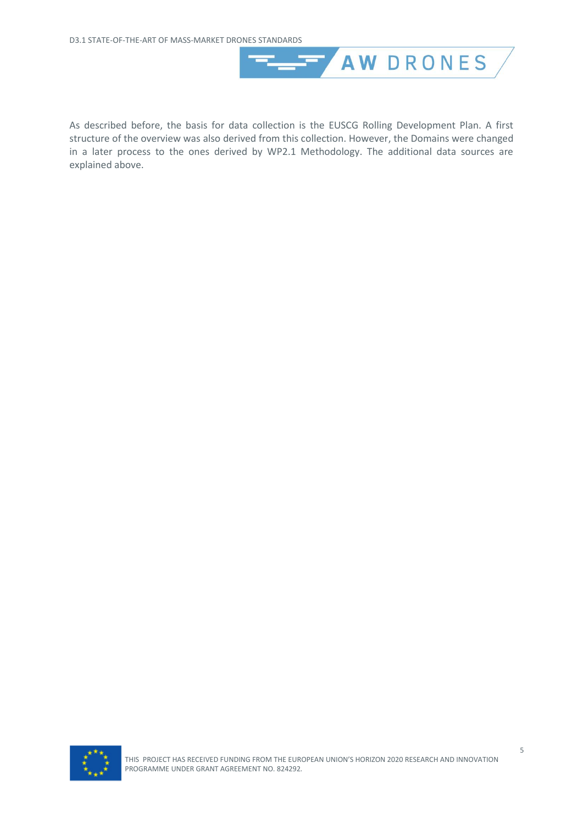

As described before, the basis for data collection is the EUSCG Rolling Development Plan. A first structure of the overview was also derived from this collection. However, the Domains were changed in a later process to the ones derived by WP2.1 Methodology. The additional data sources are explained above.

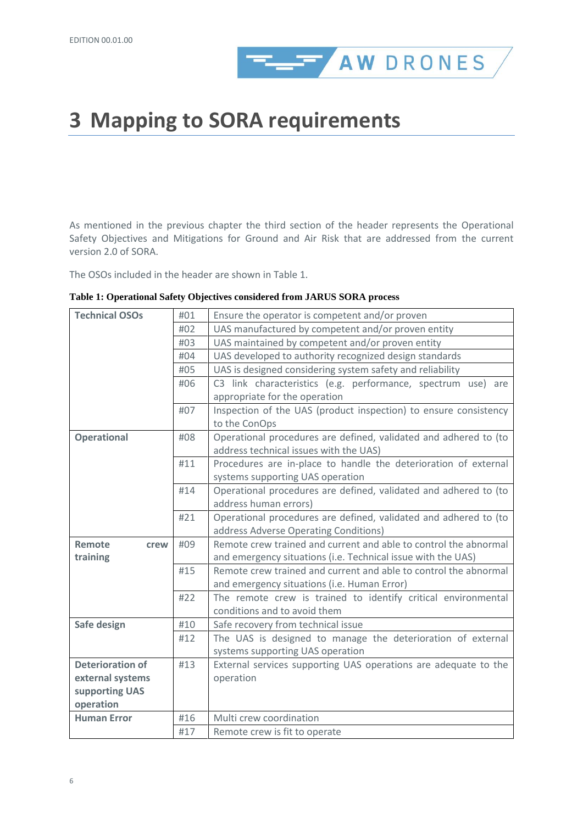

## <span id="page-9-0"></span>**3 Mapping to SORA requirements**

As mentioned in the previous chapter the third section of the header represents the Operational Safety Objectives and Mitigations for Ground and Air Risk that are addressed from the current version 2.0 of SORA.

The OSOs included in the header are shown i[n Table 1.](#page-9-1)

| <b>Technical OSOs</b>   | #01        | Ensure the operator is competent and/or proven                   |  |  |  |
|-------------------------|------------|------------------------------------------------------------------|--|--|--|
|                         | #02        | UAS manufactured by competent and/or proven entity               |  |  |  |
|                         | #03        | UAS maintained by competent and/or proven entity                 |  |  |  |
|                         | #04        | UAS developed to authority recognized design standards           |  |  |  |
|                         | #05        | UAS is designed considering system safety and reliability        |  |  |  |
|                         | #06        | C3 link characteristics (e.g. performance, spectrum use) are     |  |  |  |
|                         |            | appropriate for the operation                                    |  |  |  |
|                         | #07        | Inspection of the UAS (product inspection) to ensure consistency |  |  |  |
|                         |            | to the ConOps                                                    |  |  |  |
| <b>Operational</b>      | #08        | Operational procedures are defined, validated and adhered to (to |  |  |  |
|                         |            | address technical issues with the UAS)                           |  |  |  |
|                         | #11        | Procedures are in-place to handle the deterioration of external  |  |  |  |
|                         |            | systems supporting UAS operation                                 |  |  |  |
|                         | #14        | Operational procedures are defined, validated and adhered to (to |  |  |  |
|                         |            | address human errors)                                            |  |  |  |
|                         | #21        | Operational procedures are defined, validated and adhered to (to |  |  |  |
|                         |            | address Adverse Operating Conditions)                            |  |  |  |
| Remote<br>crew          | #09        | Remote crew trained and current and able to control the abnormal |  |  |  |
| training                |            | and emergency situations (i.e. Technical issue with the UAS)     |  |  |  |
|                         | #15        | Remote crew trained and current and able to control the abnormal |  |  |  |
|                         |            | and emergency situations (i.e. Human Error)                      |  |  |  |
|                         | #22        | The remote crew is trained to identify critical environmental    |  |  |  |
|                         |            |                                                                  |  |  |  |
|                         |            | conditions and to avoid them                                     |  |  |  |
| Safe design             | #10        | Safe recovery from technical issue                               |  |  |  |
|                         | #12        | The UAS is designed to manage the deterioration of external      |  |  |  |
|                         |            | systems supporting UAS operation                                 |  |  |  |
| <b>Deterioration of</b> | #13        | External services supporting UAS operations are adequate to the  |  |  |  |
| external systems        |            | operation                                                        |  |  |  |
| supporting UAS          |            |                                                                  |  |  |  |
| operation               |            |                                                                  |  |  |  |
| <b>Human Error</b>      | #16<br>#17 | Multi crew coordination<br>Remote crew is fit to operate         |  |  |  |

<span id="page-9-1"></span>**Table 1: Operational Safety Objectives considered from JARUS SORA process**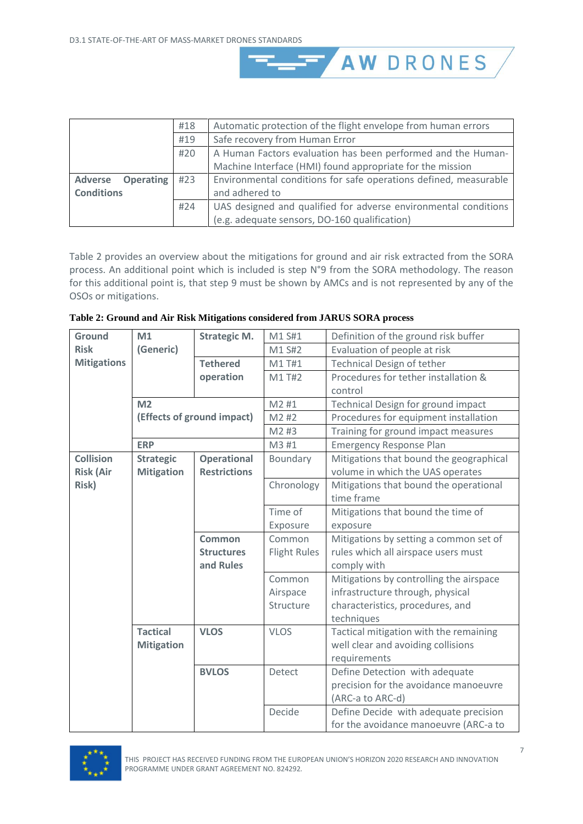|                                    | #18 | Automatic protection of the flight envelope from human errors    |  |  |
|------------------------------------|-----|------------------------------------------------------------------|--|--|
| #19                                |     | Safe recovery from Human Error                                   |  |  |
|                                    | #20 | A Human Factors evaluation has been performed and the Human-     |  |  |
|                                    |     | Machine Interface (HMI) found appropriate for the mission        |  |  |
| <b>Operating</b><br><b>Adverse</b> | #23 | Environmental conditions for safe operations defined, measurable |  |  |
| <b>Conditions</b>                  |     | and adhered to                                                   |  |  |
|                                    | #24 | UAS designed and qualified for adverse environmental conditions  |  |  |
|                                    |     | (e.g. adequate sensors, DO-160 qualification)                    |  |  |

AW DRONES

[Table 2](#page-10-0) provides an overview about the mitigations for ground and air risk extracted from the SORA process. An additional point which is included is step N°9 from the SORA methodology. The reason for this additional point is, that step 9 must be shown by AMCs and is not represented by any of the OSOs or mitigations.

<span id="page-10-0"></span>

| Table 2: Ground and Air Risk Mitigations considered from JARUS SORA process |  |
|-----------------------------------------------------------------------------|--|
|-----------------------------------------------------------------------------|--|

| <b>Ground</b>      | M1                | <b>Strategic M.</b>        | M1 S#1              | Definition of the ground risk buffer    |
|--------------------|-------------------|----------------------------|---------------------|-----------------------------------------|
| <b>Risk</b>        | (Generic)         |                            | M1 S#2              | Evaluation of people at risk            |
| <b>Mitigations</b> |                   | <b>Tethered</b>            | M1 T#1              | <b>Technical Design of tether</b>       |
|                    |                   | operation                  | M1 T#2              | Procedures for tether installation &    |
|                    |                   |                            |                     | control                                 |
|                    | M <sub>2</sub>    |                            | M2 #1               | Technical Design for ground impact      |
|                    |                   | (Effects of ground impact) | M2 #2               | Procedures for equipment installation   |
|                    |                   |                            | M2 #3               | Training for ground impact measures     |
|                    | <b>ERP</b>        |                            | M3 #1               | <b>Emergency Response Plan</b>          |
| <b>Collision</b>   | <b>Strategic</b>  | <b>Operational</b>         | Boundary            | Mitigations that bound the geographical |
| <b>Risk (Air</b>   | <b>Mitigation</b> | <b>Restrictions</b>        |                     | volume in which the UAS operates        |
| Risk)              |                   |                            | Chronology          | Mitigations that bound the operational  |
|                    |                   |                            |                     | time frame                              |
|                    |                   |                            | Time of             | Mitigations that bound the time of      |
|                    |                   |                            | Exposure            | exposure                                |
|                    |                   | <b>Common</b>              | Common              | Mitigations by setting a common set of  |
|                    |                   | <b>Structures</b>          | <b>Flight Rules</b> | rules which all airspace users must     |
|                    |                   | and Rules                  |                     | comply with                             |
|                    |                   |                            | Common              | Mitigations by controlling the airspace |
|                    |                   |                            | Airspace            | infrastructure through, physical        |
|                    |                   |                            | Structure           | characteristics, procedures, and        |
|                    |                   |                            |                     | techniques                              |
|                    | <b>Tactical</b>   | <b>VLOS</b>                | <b>VLOS</b>         | Tactical mitigation with the remaining  |
|                    | <b>Mitigation</b> |                            |                     | well clear and avoiding collisions      |
|                    |                   |                            |                     | requirements                            |
|                    |                   | <b>BVLOS</b>               | Detect              | Define Detection with adequate          |
|                    |                   |                            |                     | precision for the avoidance manoeuvre   |
|                    |                   |                            |                     | (ARC-a to ARC-d)                        |
|                    |                   |                            | Decide              | Define Decide with adequate precision   |
|                    |                   |                            |                     | for the avoidance manoeuvre (ARC-a to   |

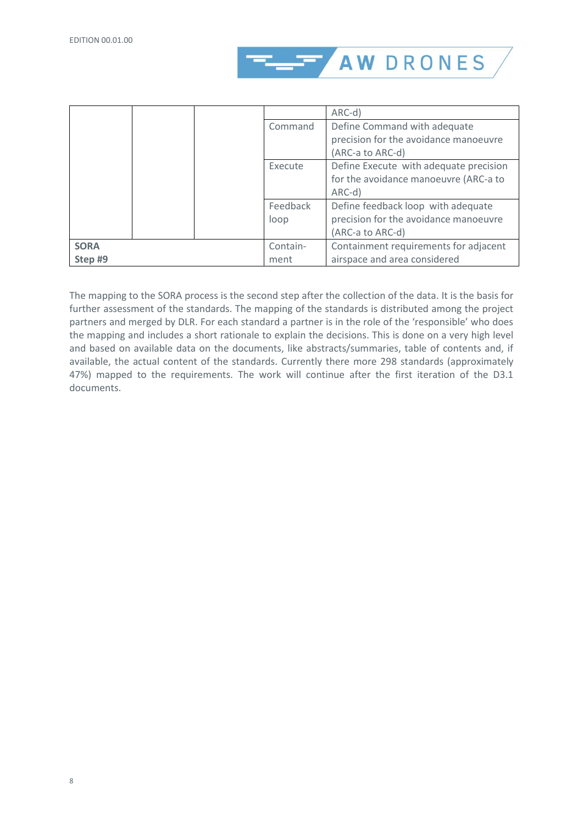

|             |          | ARC-d)                                 |
|-------------|----------|----------------------------------------|
|             | Command  | Define Command with adequate           |
|             |          | precision for the avoidance manoeuvre  |
|             |          | (ARC-a to ARC-d)                       |
|             | Execute  | Define Execute with adequate precision |
|             |          | for the avoidance manoeuvre (ARC-a to  |
|             |          | ARC-d)                                 |
|             | Feedback | Define feedback loop with adequate     |
|             | loop     | precision for the avoidance manoeuvre  |
|             |          | (ARC-a to ARC-d)                       |
| <b>SORA</b> | Contain- | Containment requirements for adjacent  |
| Step #9     | ment     | airspace and area considered           |

The mapping to the SORA process is the second step after the collection of the data. It is the basis for further assessment of the standards. The mapping of the standards is distributed among the project partners and merged by DLR. For each standard a partner is in the role of the 'responsible' who does the mapping and includes a short rationale to explain the decisions. This is done on a very high level and based on available data on the documents, like abstracts/summaries, table of contents and, if available, the actual content of the standards. Currently there more 298 standards (approximately 47%) mapped to the requirements. The work will continue after the first iteration of the D3.1 documents.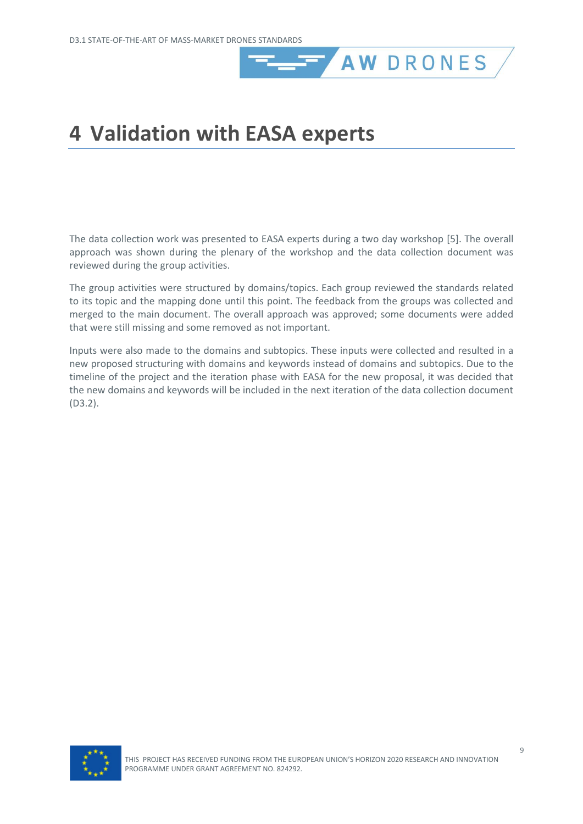# <span id="page-12-0"></span>**4 Validation with EASA experts**

The data collection work was presented to EASA experts during a two day workshop [\[5\].](#page-14-10) The overall approach was shown during the plenary of the workshop and the data collection document was reviewed during the group activities.

**AW DRONES** 

The group activities were structured by domains/topics. Each group reviewed the standards related to its topic and the mapping done until this point. The feedback from the groups was collected and merged to the main document. The overall approach was approved; some documents were added that were still missing and some removed as not important.

Inputs were also made to the domains and subtopics. These inputs were collected and resulted in a new proposed structuring with domains and keywords instead of domains and subtopics. Due to the timeline of the project and the iteration phase with EASA for the new proposal, it was decided that the new domains and keywords will be included in the next iteration of the data collection document (D3.2).

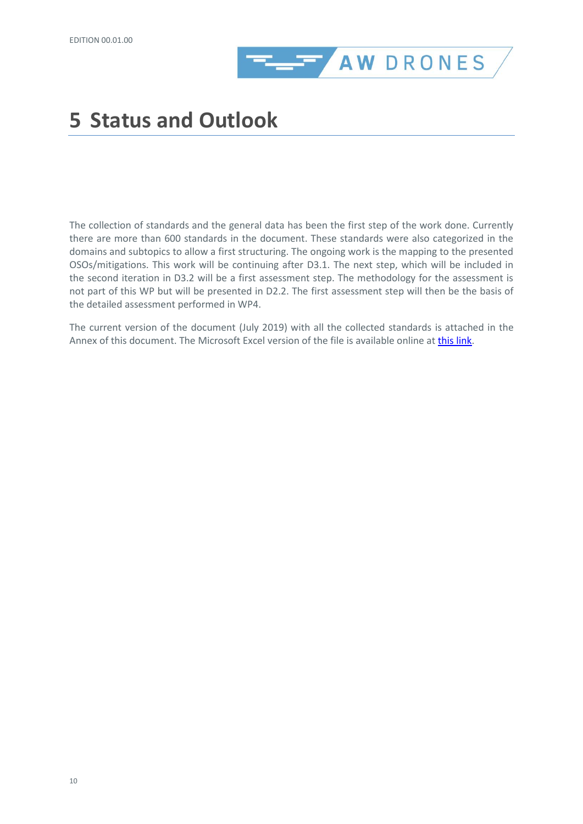

### <span id="page-13-0"></span>**5 Status and Outlook**

The collection of standards and the general data has been the first step of the work done. Currently there are more than 600 standards in the document. These standards were also categorized in the domains and subtopics to allow a first structuring. The ongoing work is the mapping to the presented OSOs/mitigations. This work will be continuing after D3.1. The next step, which will be included in the second iteration in D3.2 will be a first assessment step. The methodology for the assessment is not part of this WP but will be presented in D2.2. The first assessment step will then be the basis of the detailed assessment performed in WP4.

The current version of the document (July 2019) with all the collected standards is attached in the Annex of this document. The Microsoft Excel version of the file is available online at [this link.](https://seafile.dblue.it/f/2137e0426951495ea903/?dl=1)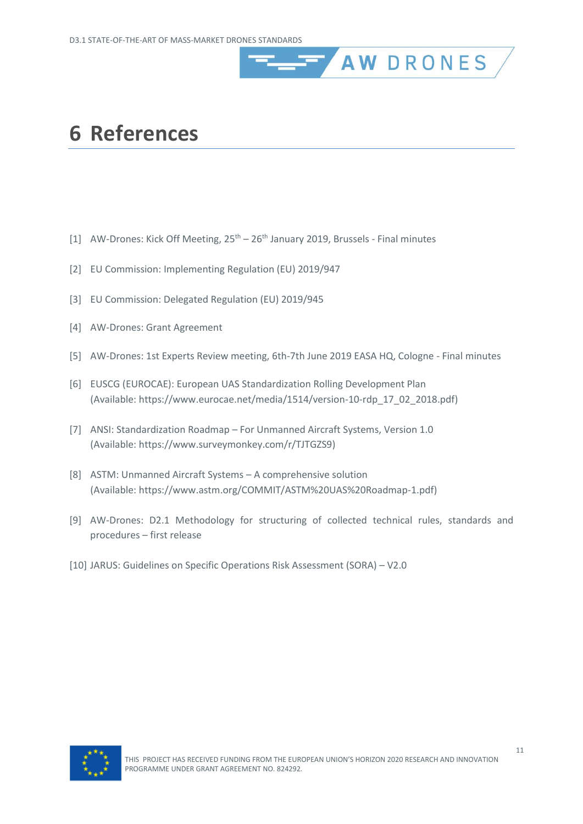### <span id="page-14-0"></span>**6 References**

- <span id="page-14-1"></span>[1] AW-Drones: Kick Off Meeting,  $25<sup>th</sup> - 26<sup>th</sup>$  January 2019, Brussels - Final minutes
- <span id="page-14-2"></span>[2] EU Commission: Implementing Regulation (EU) 2019/947
- <span id="page-14-8"></span>[3] EU Commission: Delegated Regulation (EU) 2019/945
- <span id="page-14-4"></span>[4] AW-Drones: Grant Agreement
- <span id="page-14-10"></span>[5] AW-Drones: 1st Experts Review meeting, 6th-7th June 2019 EASA HQ, Cologne - Final minutes

**AW DRONES** 

- <span id="page-14-3"></span>[6] EUSCG (EUROCAE): European UAS Standardization Rolling Development Plan (Available[: https://www.eurocae.net/media/1514/version-10-rdp\\_17\\_02\\_2018.pdf\)](https://www.eurocae.net/media/1514/version-10-rdp_17_02_2018.pdf)
- <span id="page-14-5"></span>[7] ANSI: Standardization Roadmap – For Unmanned Aircraft Systems, Version 1.0 (Available[: https://www.surveymonkey.com/r/TJTGZS9\)](https://www.surveymonkey.com/r/TJTGZS9)
- <span id="page-14-6"></span>[8] ASTM: Unmanned Aircraft Systems – A comprehensive solution (Available[: https://www.astm.org/COMMIT/ASTM%20UAS%20Roadmap-1.pdf\)](https://www.astm.org/COMMIT/ASTM%20UAS%20Roadmap-1.pdf)
- <span id="page-14-7"></span>[9] AW-Drones: D2.1 Methodology for structuring of collected technical rules, standards and procedures – first release
- <span id="page-14-9"></span>[10] JARUS: Guidelines on Specific Operations Risk Assessment (SORA) – V2.0

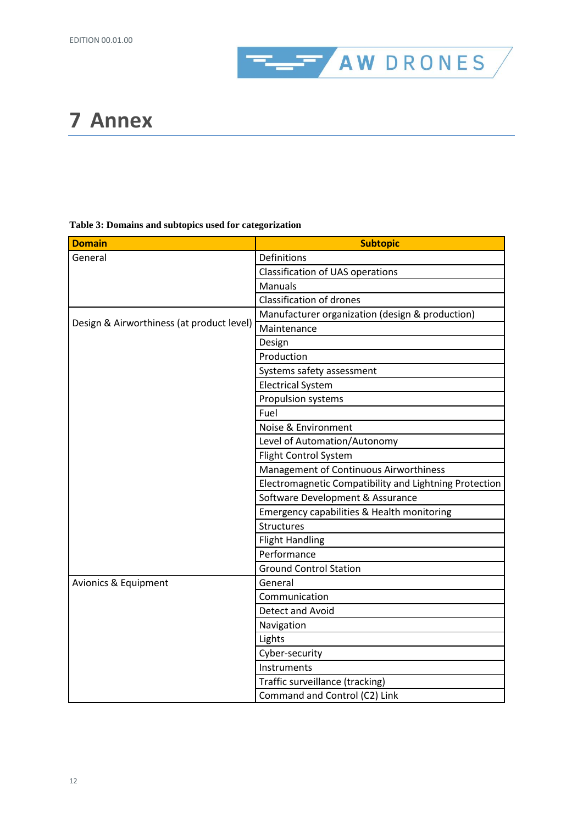

## <span id="page-15-0"></span>**7 Annex**

#### **Table 3: Domains and subtopics used for categorization**

| <b>Domain</b>                             | <b>Subtopic</b>                                        |
|-------------------------------------------|--------------------------------------------------------|
| General                                   | Definitions                                            |
|                                           | <b>Classification of UAS operations</b>                |
|                                           | Manuals                                                |
|                                           | <b>Classification of drones</b>                        |
|                                           | Manufacturer organization (design & production)        |
| Design & Airworthiness (at product level) | Maintenance                                            |
|                                           | Design                                                 |
|                                           | Production                                             |
|                                           | Systems safety assessment                              |
|                                           | <b>Electrical System</b>                               |
|                                           | Propulsion systems                                     |
|                                           | Fuel                                                   |
|                                           | Noise & Environment                                    |
|                                           | Level of Automation/Autonomy                           |
|                                           | Flight Control System                                  |
|                                           | Management of Continuous Airworthiness                 |
|                                           | Electromagnetic Compatibility and Lightning Protection |
|                                           | Software Development & Assurance                       |
|                                           | Emergency capabilities & Health monitoring             |
|                                           | Structures                                             |
|                                           | <b>Flight Handling</b>                                 |
|                                           | Performance                                            |
|                                           | <b>Ground Control Station</b>                          |
| Avionics & Equipment                      | General                                                |
|                                           | Communication                                          |
|                                           | Detect and Avoid                                       |
|                                           | Navigation                                             |
|                                           | Lights                                                 |
|                                           | Cyber-security                                         |
|                                           | Instruments                                            |
|                                           | Traffic surveillance (tracking)                        |
|                                           | Command and Control (C2) Link                          |